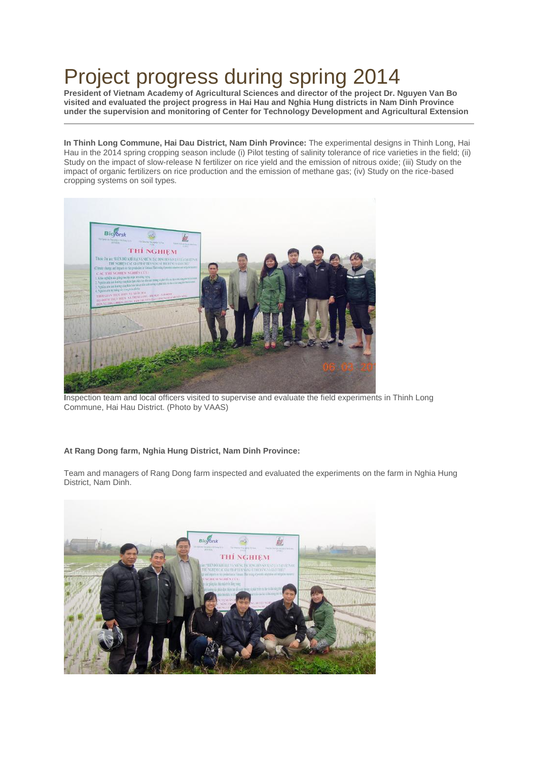## Project progress during spring 2014

**President of Vietnam Academy of Agricultural Sciences and director of the project Dr. Nguyen Van Bo visited and evaluated the project progress in Hai Hau and Nghia Hung districts in Nam Dinh Province under the supervision and monitoring of Center for Technology Development and Agricultural Extension**

**In Thinh Long Commune, Hai Dau District, Nam Dinh Province:** The experimental designs in Thinh Long, Hai Hau in the 2014 spring cropping season include (i) Pilot testing of salinity tolerance of rice varieties in the field; (ii) Study on the impact of slow-release N fertilizer on rice yield and the emission of nitrous oxide; (iii) Study on the impact of organic fertilizers on rice production and the emission of methane gas; (iv) Study on the rice-based cropping systems on soil types.



**I**nspection team and local officers visited to supervise and evaluate the field experiments in Thinh Long Commune, Hai Hau District. (Photo by VAAS)

## **At Rang Dong farm, Nghia Hung District, Nam Dinh Province:**

Team and managers of Rang Dong farm inspected and evaluated the experiments on the farm in Nghia Hung District, Nam Dinh.